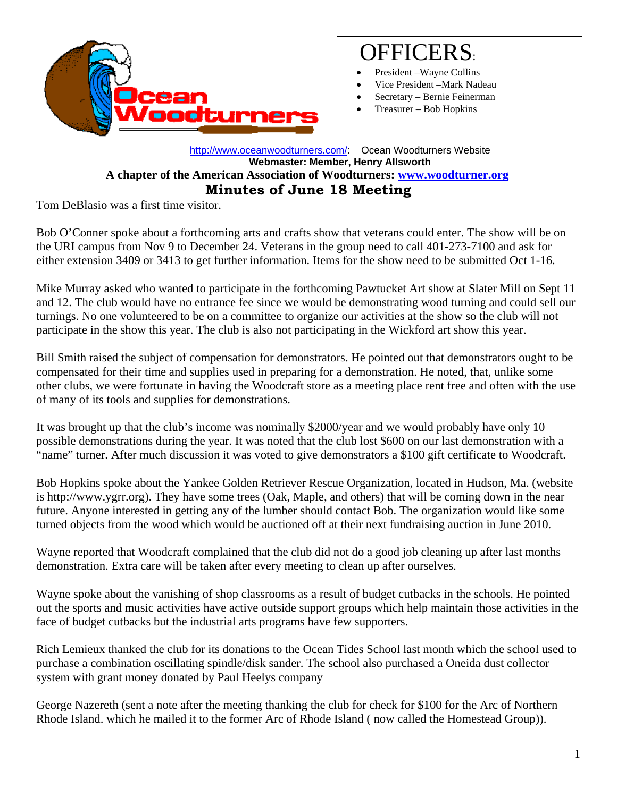

## OFFICERS:

- President Wayne Collins
- Vice President –Mark Nadeau
- Secretary Bernie Feinerman
- Treasurer Bob Hopkins

## [http://www.oceanwoodturners.com/:](http://oceanwoodturners.com/) Ocean Woodturners Website **Webmaster: Member, Henry Allsworth A chapter of the American Association of Woodturners: [www.woodturner.org](http://www.woodturner.org/)  Minutes of June 18 Meeting**

Tom DeBlasio was a first time visitor.

Bob O'Conner spoke about a forthcoming arts and crafts show that veterans could enter. The show will be on the URI campus from Nov 9 to December 24. Veterans in the group need to call 401-273-7100 and ask for either extension 3409 or 3413 to get further information. Items for the show need to be submitted Oct 1-16.

Mike Murray asked who wanted to participate in the forthcoming Pawtucket Art show at Slater Mill on Sept 11 and 12. The club would have no entrance fee since we would be demonstrating wood turning and could sell our turnings. No one volunteered to be on a committee to organize our activities at the show so the club will not participate in the show this year. The club is also not participating in the Wickford art show this year.

Bill Smith raised the subject of compensation for demonstrators. He pointed out that demonstrators ought to be compensated for their time and supplies used in preparing for a demonstration. He noted, that, unlike some other clubs, we were fortunate in having the Woodcraft store as a meeting place rent free and often with the use of many of its tools and supplies for demonstrations.

It was brought up that the club's income was nominally \$2000/year and we would probably have only 10 possible demonstrations during the year. It was noted that the club lost \$600 on our last demonstration with a "name" turner. After much discussion it was voted to give demonstrators a \$100 gift certificate to Woodcraft.

Bob Hopkins spoke about the Yankee Golden Retriever Rescue Organization, located in Hudson, Ma. (website is http://www.ygrr.org). They have some trees (Oak, Maple, and others) that will be coming down in the near future. Anyone interested in getting any of the lumber should contact Bob. The organization would like some turned objects from the wood which would be auctioned off at their next fundraising auction in June 2010.

Wayne reported that Woodcraft complained that the club did not do a good job cleaning up after last months demonstration. Extra care will be taken after every meeting to clean up after ourselves.

Wayne spoke about the vanishing of shop classrooms as a result of budget cutbacks in the schools. He pointed out the sports and music activities have active outside support groups which help maintain those activities in the face of budget cutbacks but the industrial arts programs have few supporters.

Rich Lemieux thanked the club for its donations to the Ocean Tides School last month which the school used to purchase a combination oscillating spindle/disk sander. The school also purchased a Oneida dust collector system with grant money donated by Paul Heelys company

George Nazereth (sent a note after the meeting thanking the club for check for \$100 for the Arc of Northern Rhode Island. which he mailed it to the former Arc of Rhode Island ( now called the Homestead Group)).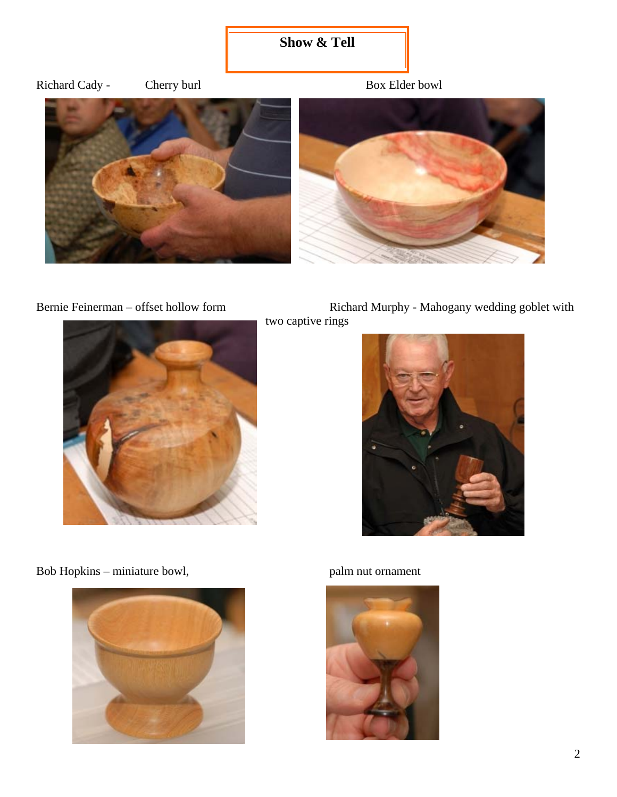## **Show & Tell**







Bernie Feinerman – offset hollow form Richard Murphy - Mahogany wedding goblet with two captive rings



Bob Hopkins – miniature bowl, palm nut ornament



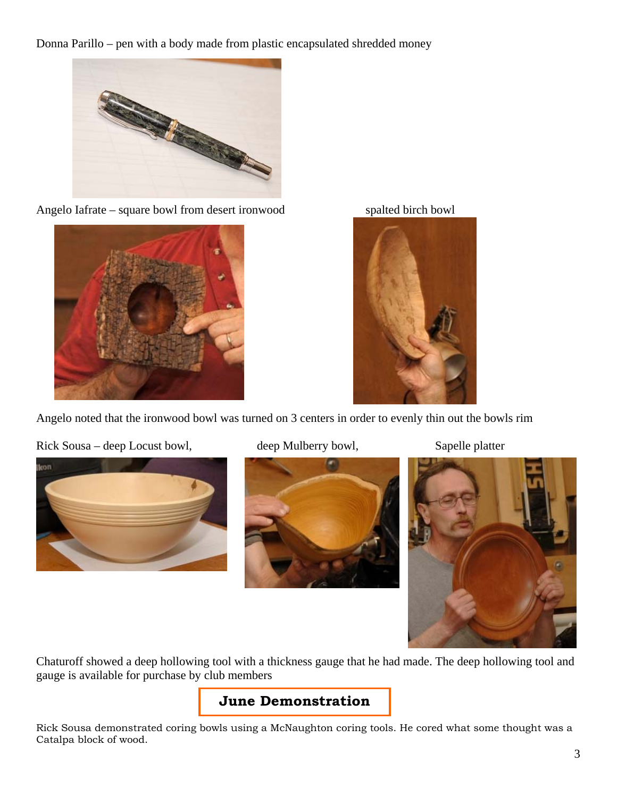Donna Parillo – pen with a body made from plastic encapsulated shredded money



Angelo Iafrate – square bowl from desert ironwood



spalted birch bowl



Angelo noted that the ironwood bowl was turned on 3 centers in order to evenly thin out the bowls rim

Rick Sousa – deep Locust bowl, deep Mulberry bowl, Sapelle platter







Chaturoff showed a deep hollowing tool with a thickness gauge that he had made. The deep hollowing tool and gauge is available for purchase by club members

## **June Demonstration**

Rick Sousa demonstrated coring bowls using a McNaughton coring tools. He cored what some thought was a Catalpa block of wood.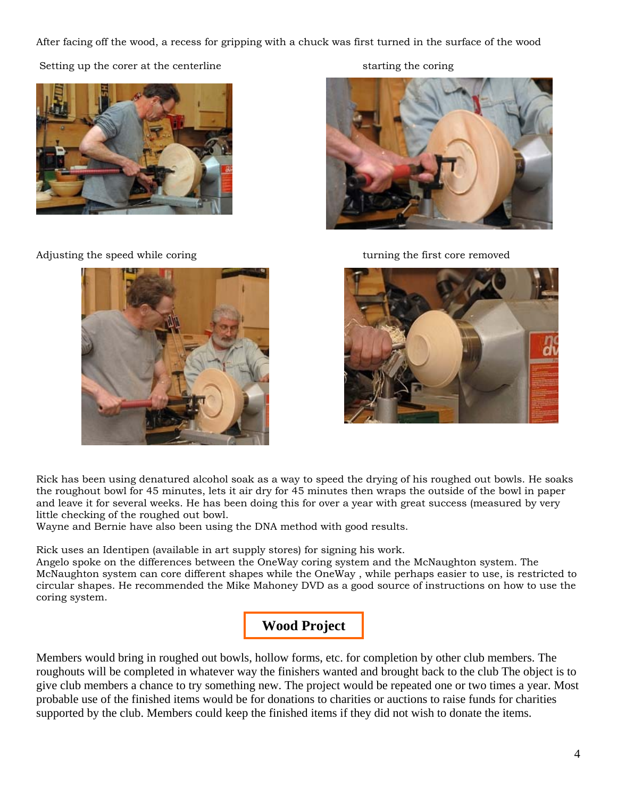After facing off the wood, a recess for gripping with a chuck was first turned in the surface of the wood

Setting up the corer at the centerline starting the coring starting the coring



djusting the speed while coring A turning the first core removed







Rick has been using denatured alcohol soak as a way to speed the drying of his roughed out bowls. He soaks the roughout bowl for 45 minutes, lets it air dry for 45 minutes then wraps the outside of the bowl in paper and leave it for several weeks. He has been doing this for over a year with great success (measured by very little checking of the roughed out bowl.

Wayne and Bernie have also been using the DNA method with good results.

Rick uses an Identipen (available in art supply stores) for signing his work.

Angelo spoke on the differences between the OneWay coring system and the McNaughton system. The McNaughton system can core different shapes while the OneWay , while perhaps easier to use, is restricted to circular shapes. He recommended the Mike Mahoney DVD as a good source of instructions on how to use the coring system.



Members would bring in roughed out bowls, hollow forms, etc. for completion by other club members. The roughouts will be completed in whatever way the finishers wanted and brought back to the club The object is to give club members a chance to try something new. The project would be repeated one or two times a year. Most probable use of the finished items would be for donations to charities or auctions to raise funds for charities supported by the club. Members could keep the finished items if they did not wish to donate the items.